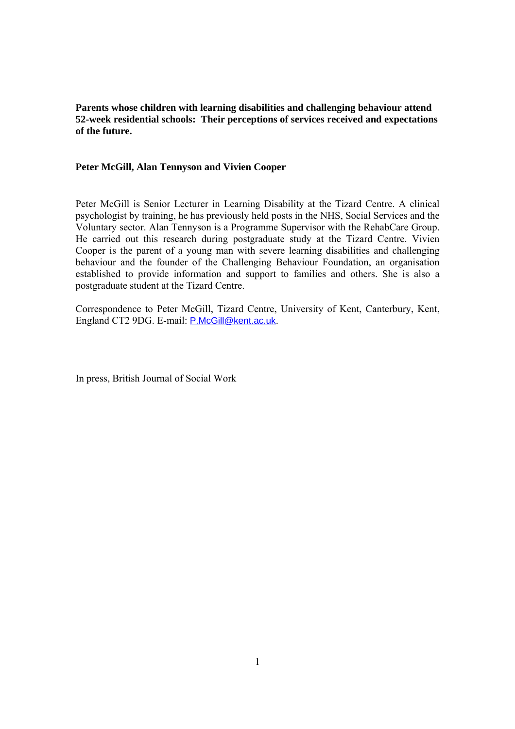# **Parents whose children with learning disabilities and challenging behaviour attend 52-week residential schools: Their perceptions of services received and expectations of the future.**

# **Peter McGill, Alan Tennyson and Vivien Cooper**

Peter McGill is Senior Lecturer in Learning Disability at the Tizard Centre. A clinical psychologist by training, he has previously held posts in the NHS, Social Services and the Voluntary sector. Alan Tennyson is a Programme Supervisor with the RehabCare Group. He carried out this research during postgraduate study at the Tizard Centre. Vivien Cooper is the parent of a young man with severe learning disabilities and challenging behaviour and the founder of the Challenging Behaviour Foundation, an organisation established to provide information and support to families and others. She is also a postgraduate student at the Tizard Centre.

Correspondence to Peter McGill, Tizard Centre, University of Kent, Canterbury, Kent, England CT2 9DG. E-mail: P.McGill@kent.ac.uk.

In press, British Journal of Social Work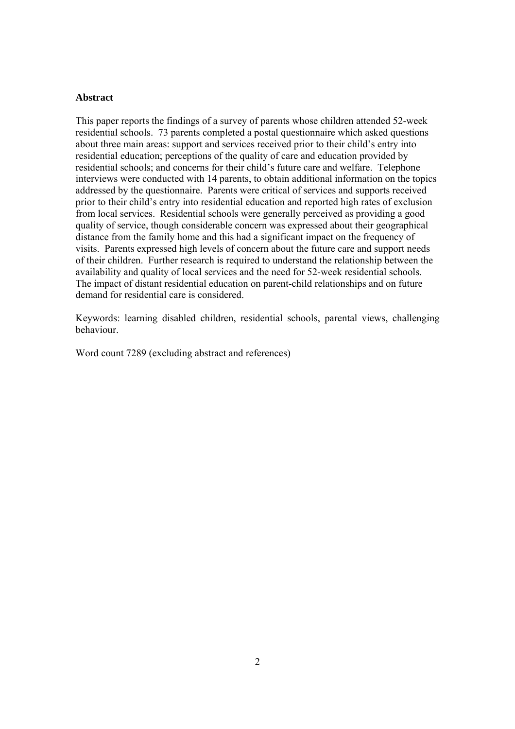## **Abstract**

This paper reports the findings of a survey of parents whose children attended 52-week residential schools. 73 parents completed a postal questionnaire which asked questions about three main areas: support and services received prior to their child's entry into residential education; perceptions of the quality of care and education provided by residential schools; and concerns for their child's future care and welfare. Telephone interviews were conducted with 14 parents, to obtain additional information on the topics addressed by the questionnaire. Parents were critical of services and supports received prior to their child's entry into residential education and reported high rates of exclusion from local services. Residential schools were generally perceived as providing a good quality of service, though considerable concern was expressed about their geographical distance from the family home and this had a significant impact on the frequency of visits. Parents expressed high levels of concern about the future care and support needs of their children. Further research is required to understand the relationship between the availability and quality of local services and the need for 52-week residential schools. The impact of distant residential education on parent-child relationships and on future demand for residential care is considered.

Keywords: learning disabled children, residential schools, parental views, challenging behaviour.

Word count 7289 (excluding abstract and references)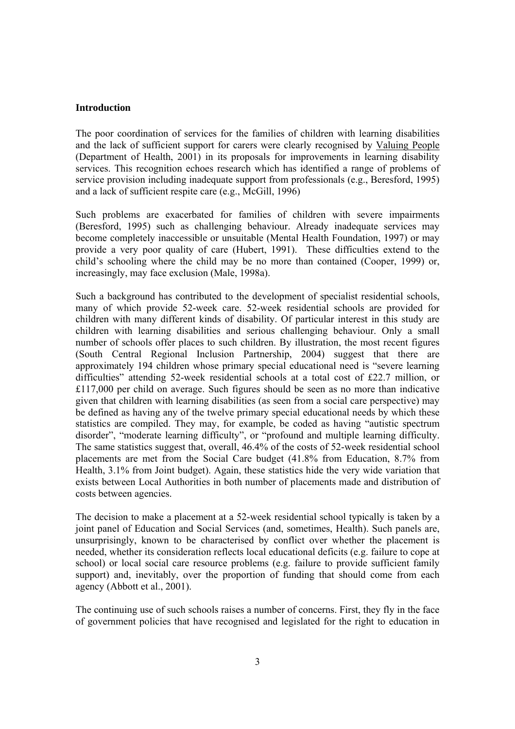### **Introduction**

The poor coordination of services for the families of children with learning disabilities and the lack of sufficient support for carers were clearly recognised by Valuing People (Department of Health, 2001) in its proposals for improvements in learning disability services. This recognition echoes research which has identified a range of problems of service provision including inadequate support from professionals (e.g., Beresford, 1995) and a lack of sufficient respite care (e.g., McGill, 1996)

Such problems are exacerbated for families of children with severe impairments (Beresford, 1995) such as challenging behaviour. Already inadequate services may become completely inaccessible or unsuitable (Mental Health Foundation, 1997) or may provide a very poor quality of care (Hubert, 1991). These difficulties extend to the child's schooling where the child may be no more than contained (Cooper, 1999) or, increasingly, may face exclusion (Male, 1998a).

Such a background has contributed to the development of specialist residential schools, many of which provide 52-week care. 52-week residential schools are provided for children with many different kinds of disability. Of particular interest in this study are children with learning disabilities and serious challenging behaviour. Only a small number of schools offer places to such children. By illustration, the most recent figures (South Central Regional Inclusion Partnership, 2004) suggest that there are approximately 194 children whose primary special educational need is "severe learning difficulties" attending 52-week residential schools at a total cost of £22.7 million, or £117,000 per child on average. Such figures should be seen as no more than indicative given that children with learning disabilities (as seen from a social care perspective) may be defined as having any of the twelve primary special educational needs by which these statistics are compiled. They may, for example, be coded as having "autistic spectrum disorder", "moderate learning difficulty", or "profound and multiple learning difficulty. The same statistics suggest that, overall, 46.4% of the costs of 52-week residential school placements are met from the Social Care budget (41.8% from Education, 8.7% from Health, 3.1% from Joint budget). Again, these statistics hide the very wide variation that exists between Local Authorities in both number of placements made and distribution of costs between agencies.

The decision to make a placement at a 52-week residential school typically is taken by a joint panel of Education and Social Services (and, sometimes, Health). Such panels are, unsurprisingly, known to be characterised by conflict over whether the placement is needed, whether its consideration reflects local educational deficits (e.g. failure to cope at school) or local social care resource problems (e.g. failure to provide sufficient family support) and, inevitably, over the proportion of funding that should come from each agency (Abbott et al., 2001).

The continuing use of such schools raises a number of concerns. First, they fly in the face of government policies that have recognised and legislated for the right to education in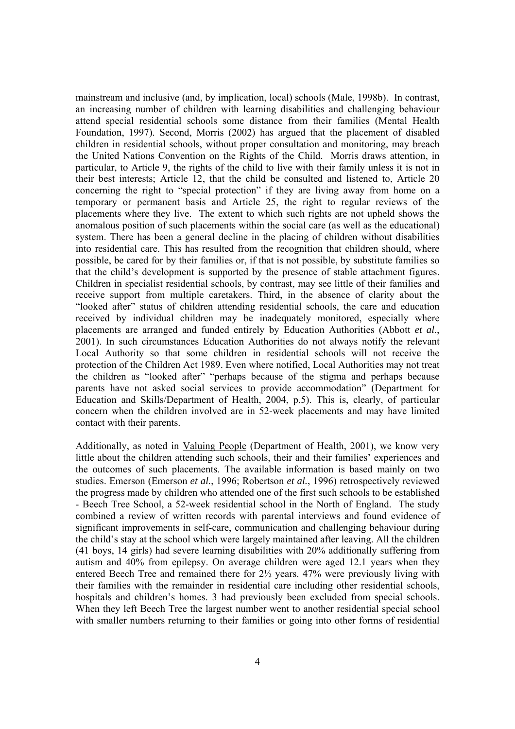mainstream and inclusive (and, by implication, local) schools (Male, 1998b). In contrast, an increasing number of children with learning disabilities and challenging behaviour attend special residential schools some distance from their families (Mental Health Foundation, 1997). Second, Morris (2002) has argued that the placement of disabled children in residential schools, without proper consultation and monitoring, may breach the United Nations Convention on the Rights of the Child. Morris draws attention, in particular, to Article 9, the rights of the child to live with their family unless it is not in their best interests; Article 12, that the child be consulted and listened to, Article 20 concerning the right to "special protection" if they are living away from home on a temporary or permanent basis and Article 25, the right to regular reviews of the placements where they live. The extent to which such rights are not upheld shows the anomalous position of such placements within the social care (as well as the educational) system. There has been a general decline in the placing of children without disabilities into residential care. This has resulted from the recognition that children should, where possible, be cared for by their families or, if that is not possible, by substitute families so that the child's development is supported by the presence of stable attachment figures. Children in specialist residential schools, by contrast, may see little of their families and receive support from multiple caretakers. Third, in the absence of clarity about the "looked after" status of children attending residential schools, the care and education received by individual children may be inadequately monitored, especially where placements are arranged and funded entirely by Education Authorities (Abbott *et al.*, 2001). In such circumstances Education Authorities do not always notify the relevant Local Authority so that some children in residential schools will not receive the protection of the Children Act 1989. Even where notified, Local Authorities may not treat the children as "looked after" "perhaps because of the stigma and perhaps because parents have not asked social services to provide accommodation" (Department for Education and Skills/Department of Health, 2004, p.5). This is, clearly, of particular concern when the children involved are in 52-week placements and may have limited contact with their parents.

Additionally, as noted in Valuing People (Department of Health, 2001), we know very little about the children attending such schools, their and their families' experiences and the outcomes of such placements. The available information is based mainly on two studies. Emerson (Emerson *et al.*, 1996; Robertson *et al.*, 1996) retrospectively reviewed the progress made by children who attended one of the first such schools to be established - Beech Tree School, a 52-week residential school in the North of England. The study combined a review of written records with parental interviews and found evidence of significant improvements in self-care, communication and challenging behaviour during the child's stay at the school which were largely maintained after leaving. All the children (41 boys, 14 girls) had severe learning disabilities with 20% additionally suffering from autism and 40% from epilepsy. On average children were aged 12.1 years when they entered Beech Tree and remained there for 2½ years. 47% were previously living with their families with the remainder in residential care including other residential schools, hospitals and children's homes. 3 had previously been excluded from special schools. When they left Beech Tree the largest number went to another residential special school with smaller numbers returning to their families or going into other forms of residential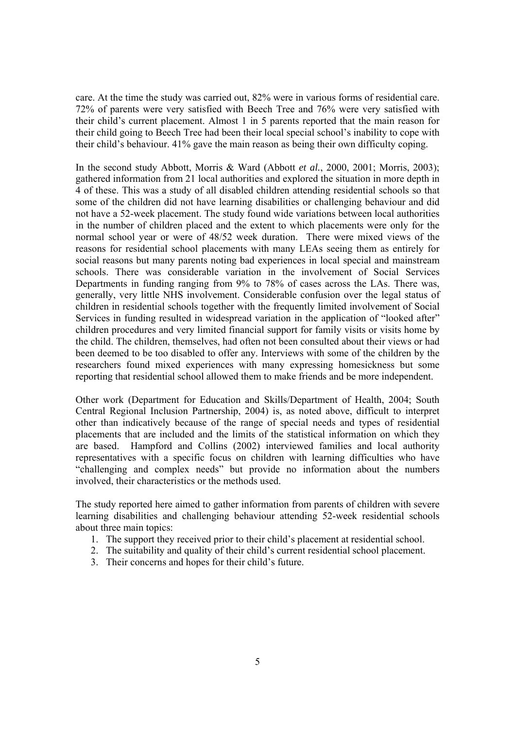care. At the time the study was carried out, 82% were in various forms of residential care. 72% of parents were very satisfied with Beech Tree and 76% were very satisfied with their child's current placement. Almost 1 in 5 parents reported that the main reason for their child going to Beech Tree had been their local special school's inability to cope with their child's behaviour. 41% gave the main reason as being their own difficulty coping.

In the second study Abbott, Morris & Ward (Abbott *et al.*, 2000, 2001; Morris, 2003); gathered information from 21 local authorities and explored the situation in more depth in 4 of these. This was a study of all disabled children attending residential schools so that some of the children did not have learning disabilities or challenging behaviour and did not have a 52-week placement. The study found wide variations between local authorities in the number of children placed and the extent to which placements were only for the normal school year or were of 48/52 week duration. There were mixed views of the reasons for residential school placements with many LEAs seeing them as entirely for social reasons but many parents noting bad experiences in local special and mainstream schools. There was considerable variation in the involvement of Social Services Departments in funding ranging from 9% to 78% of cases across the LAs. There was, generally, very little NHS involvement. Considerable confusion over the legal status of children in residential schools together with the frequently limited involvement of Social Services in funding resulted in widespread variation in the application of "looked after" children procedures and very limited financial support for family visits or visits home by the child. The children, themselves, had often not been consulted about their views or had been deemed to be too disabled to offer any. Interviews with some of the children by the researchers found mixed experiences with many expressing homesickness but some reporting that residential school allowed them to make friends and be more independent.

Other work (Department for Education and Skills/Department of Health, 2004; South Central Regional Inclusion Partnership, 2004) is, as noted above, difficult to interpret other than indicatively because of the range of special needs and types of residential placements that are included and the limits of the statistical information on which they are based. Hampford and Collins (2002) interviewed families and local authority representatives with a specific focus on children with learning difficulties who have "challenging and complex needs" but provide no information about the numbers involved, their characteristics or the methods used.

The study reported here aimed to gather information from parents of children with severe learning disabilities and challenging behaviour attending 52-week residential schools about three main topics:

- 1. The support they received prior to their child's placement at residential school.
- 2. The suitability and quality of their child's current residential school placement.
- 3. Their concerns and hopes for their child's future.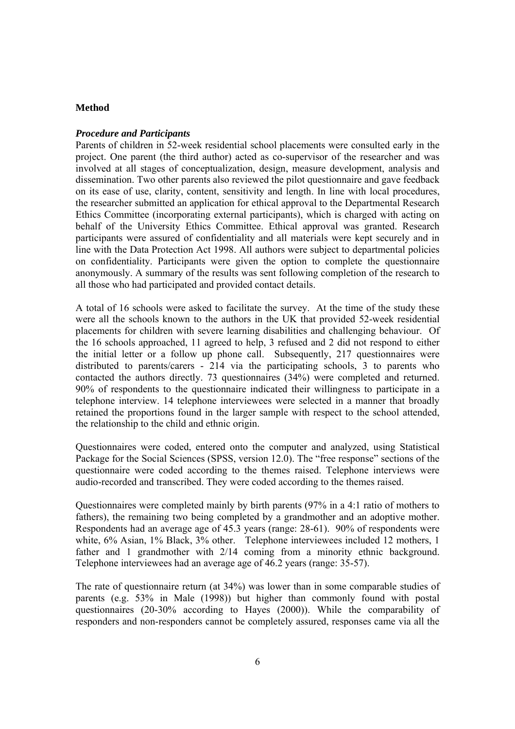## **Method**

#### *Procedure and Participants*

Parents of children in 52-week residential school placements were consulted early in the project. One parent (the third author) acted as co-supervisor of the researcher and was involved at all stages of conceptualization, design, measure development, analysis and dissemination. Two other parents also reviewed the pilot questionnaire and gave feedback on its ease of use, clarity, content, sensitivity and length. In line with local procedures, the researcher submitted an application for ethical approval to the Departmental Research Ethics Committee (incorporating external participants), which is charged with acting on behalf of the University Ethics Committee. Ethical approval was granted. Research participants were assured of confidentiality and all materials were kept securely and in line with the Data Protection Act 1998. All authors were subject to departmental policies on confidentiality. Participants were given the option to complete the questionnaire anonymously. A summary of the results was sent following completion of the research to all those who had participated and provided contact details.

A total of 16 schools were asked to facilitate the survey. At the time of the study these were all the schools known to the authors in the UK that provided 52-week residential placements for children with severe learning disabilities and challenging behaviour. Of the 16 schools approached, 11 agreed to help, 3 refused and 2 did not respond to either the initial letter or a follow up phone call. Subsequently, 217 questionnaires were distributed to parents/carers - 214 via the participating schools, 3 to parents who contacted the authors directly. 73 questionnaires (34%) were completed and returned. 90% of respondents to the questionnaire indicated their willingness to participate in a telephone interview. 14 telephone interviewees were selected in a manner that broadly retained the proportions found in the larger sample with respect to the school attended, the relationship to the child and ethnic origin.

Questionnaires were coded, entered onto the computer and analyzed, using Statistical Package for the Social Sciences (SPSS, version 12.0). The "free response" sections of the questionnaire were coded according to the themes raised. Telephone interviews were audio-recorded and transcribed. They were coded according to the themes raised.

Questionnaires were completed mainly by birth parents (97% in a 4:1 ratio of mothers to fathers), the remaining two being completed by a grandmother and an adoptive mother. Respondents had an average age of 45.3 years (range: 28-61). 90% of respondents were white, 6% Asian, 1% Black, 3% other. Telephone interviewees included 12 mothers, 1 father and 1 grandmother with 2/14 coming from a minority ethnic background. Telephone interviewees had an average age of 46.2 years (range: 35-57).

The rate of questionnaire return (at 34%) was lower than in some comparable studies of parents (e.g. 53% in Male (1998)) but higher than commonly found with postal questionnaires (20-30% according to Hayes (2000)). While the comparability of responders and non-responders cannot be completely assured, responses came via all the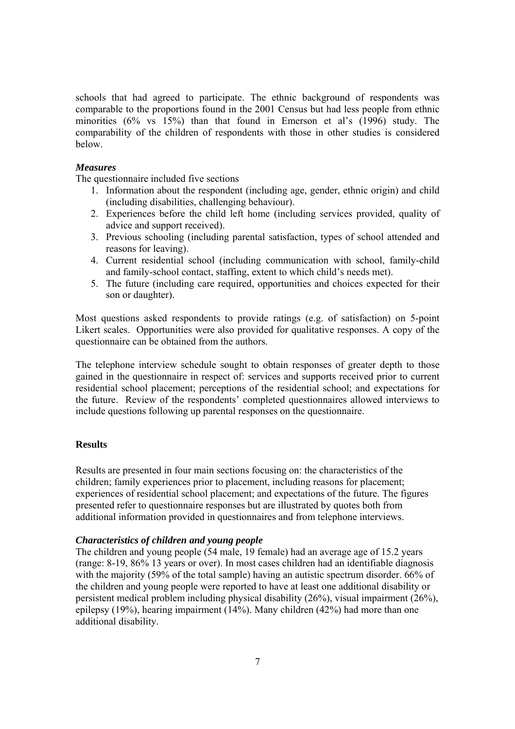schools that had agreed to participate. The ethnic background of respondents was comparable to the proportions found in the 2001 Census but had less people from ethnic minorities (6% vs 15%) than that found in Emerson et al's (1996) study. The comparability of the children of respondents with those in other studies is considered below.

### *Measures*

The questionnaire included five sections

- 1. Information about the respondent (including age, gender, ethnic origin) and child (including disabilities, challenging behaviour).
- 2. Experiences before the child left home (including services provided, quality of advice and support received).
- 3. Previous schooling (including parental satisfaction, types of school attended and reasons for leaving).
- 4. Current residential school (including communication with school, family-child and family-school contact, staffing, extent to which child's needs met).
- 5. The future (including care required, opportunities and choices expected for their son or daughter).

Most questions asked respondents to provide ratings (e.g. of satisfaction) on 5-point Likert scales. Opportunities were also provided for qualitative responses. A copy of the questionnaire can be obtained from the authors.

The telephone interview schedule sought to obtain responses of greater depth to those gained in the questionnaire in respect of: services and supports received prior to current residential school placement; perceptions of the residential school; and expectations for the future. Review of the respondents' completed questionnaires allowed interviews to include questions following up parental responses on the questionnaire.

## **Results**

Results are presented in four main sections focusing on: the characteristics of the children; family experiences prior to placement, including reasons for placement; experiences of residential school placement; and expectations of the future. The figures presented refer to questionnaire responses but are illustrated by quotes both from additional information provided in questionnaires and from telephone interviews.

### *Characteristics of children and young people*

The children and young people (54 male, 19 female) had an average age of 15.2 years (range: 8-19, 86% 13 years or over). In most cases children had an identifiable diagnosis with the majority (59% of the total sample) having an autistic spectrum disorder. 66% of the children and young people were reported to have at least one additional disability or persistent medical problem including physical disability (26%), visual impairment (26%), epilepsy (19%), hearing impairment (14%). Many children (42%) had more than one additional disability.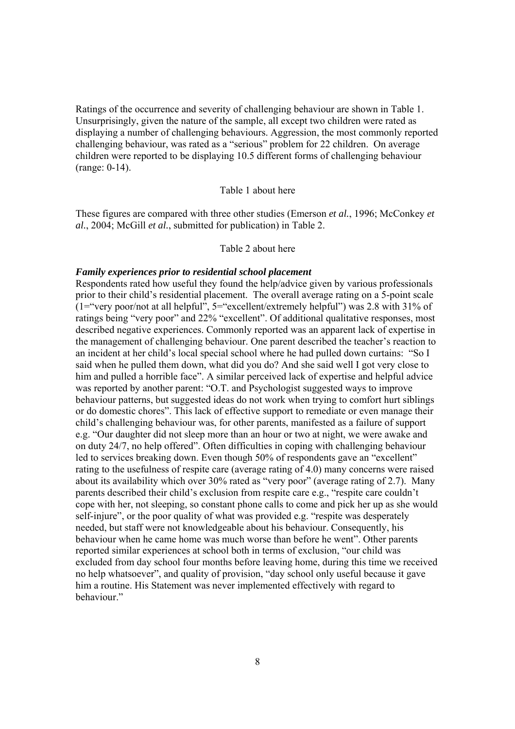Ratings of the occurrence and severity of challenging behaviour are shown in Table 1. Unsurprisingly, given the nature of the sample, all except two children were rated as displaying a number of challenging behaviours. Aggression, the most commonly reported challenging behaviour, was rated as a "serious" problem for 22 children. On average children were reported to be displaying 10.5 different forms of challenging behaviour (range: 0-14).

#### Table 1 about here

These figures are compared with three other studies (Emerson *et al.*, 1996; McConkey *et al.*, 2004; McGill *et al.*, submitted for publication) in Table 2.

## Table 2 about here

## *Family experiences prior to residential school placement*

Respondents rated how useful they found the help/advice given by various professionals prior to their child's residential placement. The overall average rating on a 5-point scale (1="very poor/not at all helpful", 5="excellent/extremely helpful") was 2.8 with 31% of ratings being "very poor" and 22% "excellent". Of additional qualitative responses, most described negative experiences. Commonly reported was an apparent lack of expertise in the management of challenging behaviour. One parent described the teacher's reaction to an incident at her child's local special school where he had pulled down curtains: "So I said when he pulled them down, what did you do? And she said well I got very close to him and pulled a horrible face". A similar perceived lack of expertise and helpful advice was reported by another parent: "O.T. and Psychologist suggested ways to improve behaviour patterns, but suggested ideas do not work when trying to comfort hurt siblings or do domestic chores". This lack of effective support to remediate or even manage their child's challenging behaviour was, for other parents, manifested as a failure of support e.g. "Our daughter did not sleep more than an hour or two at night, we were awake and on duty 24/7, no help offered". Often difficulties in coping with challenging behaviour led to services breaking down. Even though 50% of respondents gave an "excellent" rating to the usefulness of respite care (average rating of 4.0) many concerns were raised about its availability which over 30% rated as "very poor" (average rating of 2.7). Many parents described their child's exclusion from respite care e.g., "respite care couldn't cope with her, not sleeping, so constant phone calls to come and pick her up as she would self-injure", or the poor quality of what was provided e.g. "respite was desperately needed, but staff were not knowledgeable about his behaviour. Consequently, his behaviour when he came home was much worse than before he went". Other parents reported similar experiences at school both in terms of exclusion, "our child was excluded from day school four months before leaving home, during this time we received no help whatsoever", and quality of provision, "day school only useful because it gave him a routine. His Statement was never implemented effectively with regard to behaviour."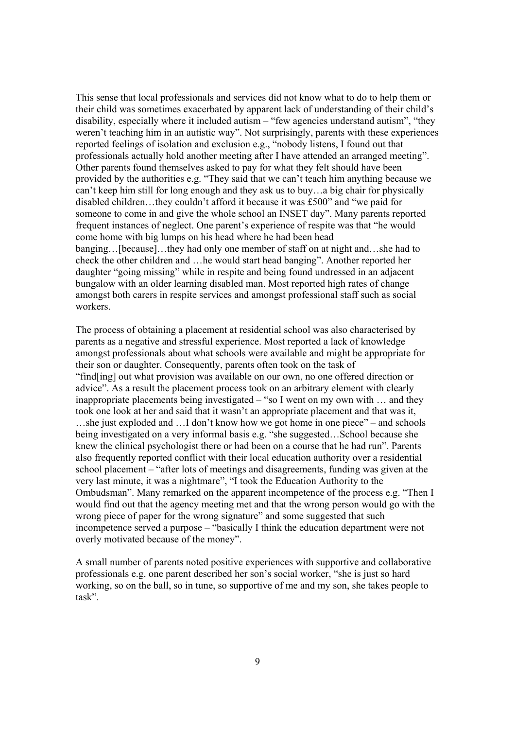This sense that local professionals and services did not know what to do to help them or their child was sometimes exacerbated by apparent lack of understanding of their child's disability, especially where it included autism – "few agencies understand autism", "they weren't teaching him in an autistic way". Not surprisingly, parents with these experiences reported feelings of isolation and exclusion e.g., "nobody listens, I found out that professionals actually hold another meeting after I have attended an arranged meeting". Other parents found themselves asked to pay for what they felt should have been provided by the authorities e.g. "They said that we can't teach him anything because we can't keep him still for long enough and they ask us to buy…a big chair for physically disabled children…they couldn't afford it because it was £500" and "we paid for someone to come in and give the whole school an INSET day". Many parents reported frequent instances of neglect. One parent's experience of respite was that "he would come home with big lumps on his head where he had been head banging…[because]…they had only one member of staff on at night and…she had to check the other children and …he would start head banging". Another reported her daughter "going missing" while in respite and being found undressed in an adjacent bungalow with an older learning disabled man. Most reported high rates of change amongst both carers in respite services and amongst professional staff such as social workers.

The process of obtaining a placement at residential school was also characterised by parents as a negative and stressful experience. Most reported a lack of knowledge amongst professionals about what schools were available and might be appropriate for their son or daughter. Consequently, parents often took on the task of "find[ing] out what provision was available on our own, no one offered direction or advice". As a result the placement process took on an arbitrary element with clearly inappropriate placements being investigated – "so I went on my own with … and they took one look at her and said that it wasn't an appropriate placement and that was it, …she just exploded and …I don't know how we got home in one piece" – and schools being investigated on a very informal basis e.g. "she suggested…School because she knew the clinical psychologist there or had been on a course that he had run". Parents also frequently reported conflict with their local education authority over a residential school placement – "after lots of meetings and disagreements, funding was given at the very last minute, it was a nightmare", "I took the Education Authority to the Ombudsman". Many remarked on the apparent incompetence of the process e.g. "Then I would find out that the agency meeting met and that the wrong person would go with the wrong piece of paper for the wrong signature" and some suggested that such incompetence served a purpose – "basically I think the education department were not overly motivated because of the money".

A small number of parents noted positive experiences with supportive and collaborative professionals e.g. one parent described her son's social worker, "she is just so hard working, so on the ball, so in tune, so supportive of me and my son, she takes people to task".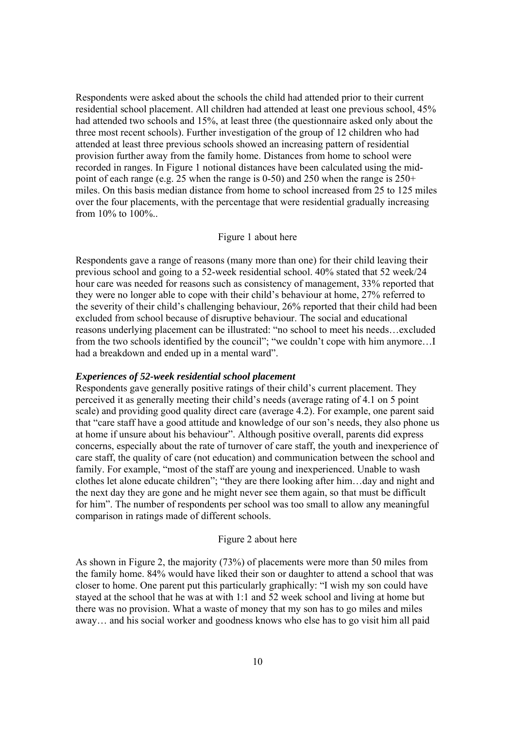Respondents were asked about the schools the child had attended prior to their current residential school placement. All children had attended at least one previous school, 45% had attended two schools and 15%, at least three (the questionnaire asked only about the three most recent schools). Further investigation of the group of 12 children who had attended at least three previous schools showed an increasing pattern of residential provision further away from the family home. Distances from home to school were recorded in ranges. In Figure 1 notional distances have been calculated using the midpoint of each range (e.g. 25 when the range is 0-50) and 250 when the range is 250+ miles. On this basis median distance from home to school increased from 25 to 125 miles over the four placements, with the percentage that were residential gradually increasing from 10% to 100%..

## Figure 1 about here

Respondents gave a range of reasons (many more than one) for their child leaving their previous school and going to a 52-week residential school. 40% stated that 52 week/24 hour care was needed for reasons such as consistency of management,  $33%$  reported that they were no longer able to cope with their child's behaviour at home, 27% referred to the severity of their child's challenging behaviour, 26% reported that their child had been excluded from school because of disruptive behaviour. The social and educational reasons underlying placement can be illustrated: "no school to meet his needs…excluded from the two schools identified by the council"; "we couldn't cope with him anymore…I had a breakdown and ended up in a mental ward".

## *Experiences of 52-week residential school placement*

Respondents gave generally positive ratings of their child's current placement. They perceived it as generally meeting their child's needs (average rating of 4.1 on 5 point scale) and providing good quality direct care (average 4.2). For example, one parent said that "care staff have a good attitude and knowledge of our son's needs, they also phone us at home if unsure about his behaviour". Although positive overall, parents did express concerns, especially about the rate of turnover of care staff, the youth and inexperience of care staff, the quality of care (not education) and communication between the school and family. For example, "most of the staff are young and inexperienced. Unable to wash clothes let alone educate children"; "they are there looking after him…day and night and the next day they are gone and he might never see them again, so that must be difficult for him". The number of respondents per school was too small to allow any meaningful comparison in ratings made of different schools.

#### Figure 2 about here

As shown in Figure 2, the majority (73%) of placements were more than 50 miles from the family home. 84% would have liked their son or daughter to attend a school that was closer to home. One parent put this particularly graphically: "I wish my son could have stayed at the school that he was at with 1:1 and 52 week school and living at home but there was no provision. What a waste of money that my son has to go miles and miles away… and his social worker and goodness knows who else has to go visit him all paid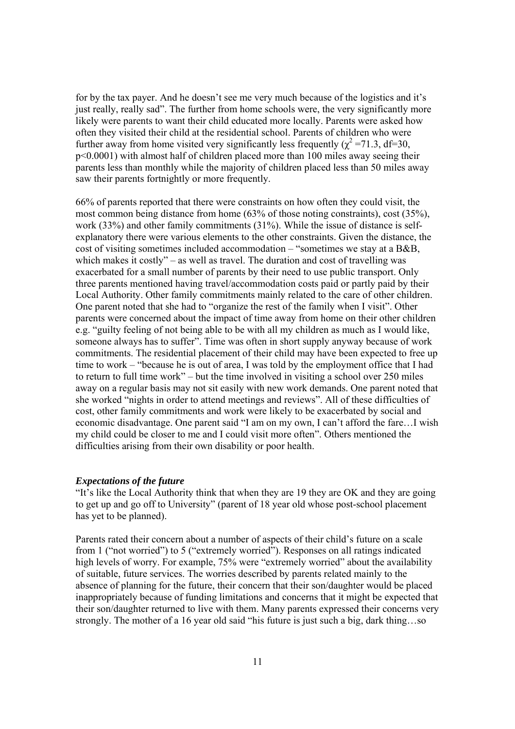for by the tax payer. And he doesn't see me very much because of the logistics and it's just really, really sad". The further from home schools were, the very significantly more likely were parents to want their child educated more locally. Parents were asked how often they visited their child at the residential school. Parents of children who were further away from home visited very significantly less frequently ( $\chi^2$  =71.3, df=30, p<0.0001) with almost half of children placed more than 100 miles away seeing their parents less than monthly while the majority of children placed less than 50 miles away saw their parents fortnightly or more frequently.

66% of parents reported that there were constraints on how often they could visit, the most common being distance from home (63% of those noting constraints), cost (35%), work (33%) and other family commitments (31%). While the issue of distance is selfexplanatory there were various elements to the other constraints. Given the distance, the cost of visiting sometimes included accommodation – "sometimes we stay at a B&B, which makes it costly" – as well as travel. The duration and cost of travelling was exacerbated for a small number of parents by their need to use public transport. Only three parents mentioned having travel/accommodation costs paid or partly paid by their Local Authority. Other family commitments mainly related to the care of other children. One parent noted that she had to "organize the rest of the family when I visit". Other parents were concerned about the impact of time away from home on their other children e.g. "guilty feeling of not being able to be with all my children as much as I would like, someone always has to suffer". Time was often in short supply anyway because of work commitments. The residential placement of their child may have been expected to free up time to work – "because he is out of area, I was told by the employment office that I had to return to full time work" – but the time involved in visiting a school over 250 miles away on a regular basis may not sit easily with new work demands. One parent noted that she worked "nights in order to attend meetings and reviews". All of these difficulties of cost, other family commitments and work were likely to be exacerbated by social and economic disadvantage. One parent said "I am on my own, I can't afford the fare…I wish my child could be closer to me and I could visit more often". Others mentioned the difficulties arising from their own disability or poor health.

### *Expectations of the future*

"It's like the Local Authority think that when they are 19 they are OK and they are going to get up and go off to University" (parent of 18 year old whose post-school placement has yet to be planned).

Parents rated their concern about a number of aspects of their child's future on a scale from 1 ("not worried") to 5 ("extremely worried"). Responses on all ratings indicated high levels of worry. For example, 75% were "extremely worried" about the availability of suitable, future services. The worries described by parents related mainly to the absence of planning for the future, their concern that their son/daughter would be placed inappropriately because of funding limitations and concerns that it might be expected that their son/daughter returned to live with them. Many parents expressed their concerns very strongly. The mother of a 16 year old said "his future is just such a big, dark thing…so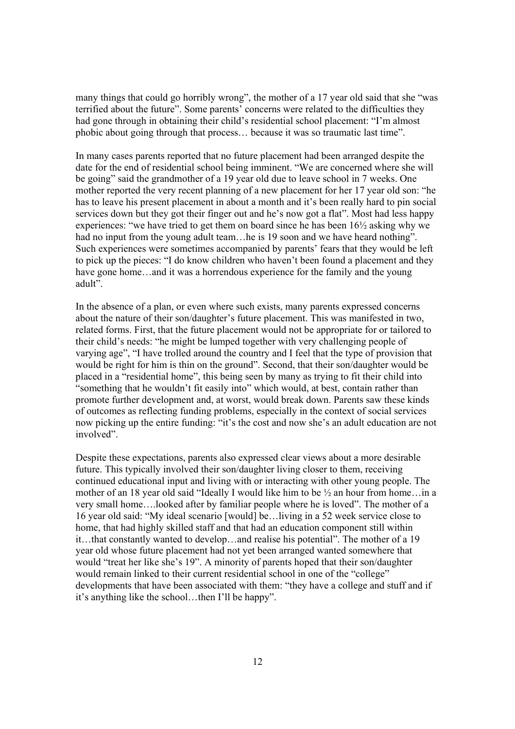many things that could go horribly wrong", the mother of a 17 year old said that she "was terrified about the future". Some parents' concerns were related to the difficulties they had gone through in obtaining their child's residential school placement: "I'm almost phobic about going through that process… because it was so traumatic last time".

In many cases parents reported that no future placement had been arranged despite the date for the end of residential school being imminent. "We are concerned where she will be going" said the grandmother of a 19 year old due to leave school in 7 weeks. One mother reported the very recent planning of a new placement for her 17 year old son: "he has to leave his present placement in about a month and it's been really hard to pin social services down but they got their finger out and he's now got a flat". Most had less happy experiences: "we have tried to get them on board since he has been  $16\frac{1}{2}$  asking why we had no input from the young adult team... he is 19 soon and we have heard nothing". Such experiences were sometimes accompanied by parents' fears that they would be left to pick up the pieces: "I do know children who haven't been found a placement and they have gone home... and it was a horrendous experience for the family and the young adult".

In the absence of a plan, or even where such exists, many parents expressed concerns about the nature of their son/daughter's future placement. This was manifested in two, related forms. First, that the future placement would not be appropriate for or tailored to their child's needs: "he might be lumped together with very challenging people of varying age", "I have trolled around the country and I feel that the type of provision that would be right for him is thin on the ground". Second, that their son/daughter would be placed in a "residential home", this being seen by many as trying to fit their child into "something that he wouldn't fit easily into" which would, at best, contain rather than promote further development and, at worst, would break down. Parents saw these kinds of outcomes as reflecting funding problems, especially in the context of social services now picking up the entire funding: "it's the cost and now she's an adult education are not involved".

Despite these expectations, parents also expressed clear views about a more desirable future. This typically involved their son/daughter living closer to them, receiving continued educational input and living with or interacting with other young people. The mother of an 18 year old said "Ideally I would like him to be ½ an hour from home…in a very small home….looked after by familiar people where he is loved". The mother of a 16 year old said: "My ideal scenario [would] be…living in a 52 week service close to home, that had highly skilled staff and that had an education component still within it…that constantly wanted to develop…and realise his potential". The mother of a 19 year old whose future placement had not yet been arranged wanted somewhere that would "treat her like she's 19". A minority of parents hoped that their son/daughter would remain linked to their current residential school in one of the "college" developments that have been associated with them: "they have a college and stuff and if it's anything like the school…then I'll be happy".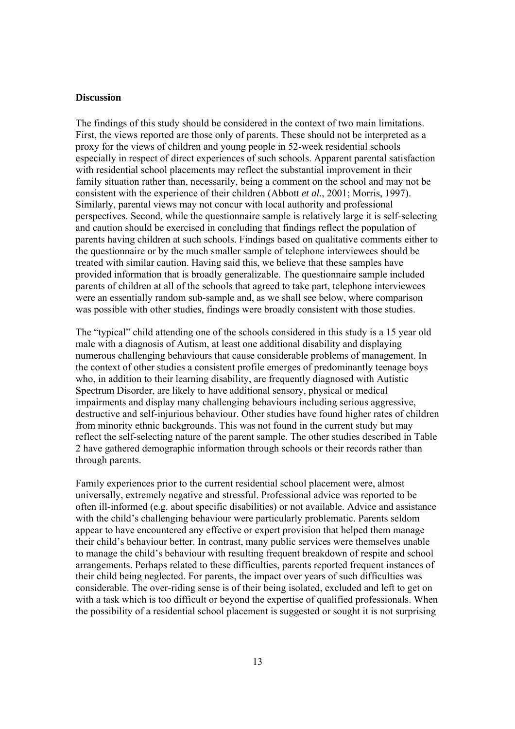### **Discussion**

The findings of this study should be considered in the context of two main limitations. First, the views reported are those only of parents. These should not be interpreted as a proxy for the views of children and young people in 52-week residential schools especially in respect of direct experiences of such schools. Apparent parental satisfaction with residential school placements may reflect the substantial improvement in their family situation rather than, necessarily, being a comment on the school and may not be consistent with the experience of their children (Abbott *et al.*, 2001; Morris, 1997). Similarly, parental views may not concur with local authority and professional perspectives. Second, while the questionnaire sample is relatively large it is self-selecting and caution should be exercised in concluding that findings reflect the population of parents having children at such schools. Findings based on qualitative comments either to the questionnaire or by the much smaller sample of telephone interviewees should be treated with similar caution. Having said this, we believe that these samples have provided information that is broadly generalizable. The questionnaire sample included parents of children at all of the schools that agreed to take part, telephone interviewees were an essentially random sub-sample and, as we shall see below, where comparison was possible with other studies, findings were broadly consistent with those studies.

The "typical" child attending one of the schools considered in this study is a 15 year old male with a diagnosis of Autism, at least one additional disability and displaying numerous challenging behaviours that cause considerable problems of management. In the context of other studies a consistent profile emerges of predominantly teenage boys who, in addition to their learning disability, are frequently diagnosed with Autistic Spectrum Disorder, are likely to have additional sensory, physical or medical impairments and display many challenging behaviours including serious aggressive, destructive and self-injurious behaviour. Other studies have found higher rates of children from minority ethnic backgrounds. This was not found in the current study but may reflect the self-selecting nature of the parent sample. The other studies described in Table 2 have gathered demographic information through schools or their records rather than through parents.

Family experiences prior to the current residential school placement were, almost universally, extremely negative and stressful. Professional advice was reported to be often ill-informed (e.g. about specific disabilities) or not available. Advice and assistance with the child's challenging behaviour were particularly problematic. Parents seldom appear to have encountered any effective or expert provision that helped them manage their child's behaviour better. In contrast, many public services were themselves unable to manage the child's behaviour with resulting frequent breakdown of respite and school arrangements. Perhaps related to these difficulties, parents reported frequent instances of their child being neglected. For parents, the impact over years of such difficulties was considerable. The over-riding sense is of their being isolated, excluded and left to get on with a task which is too difficult or beyond the expertise of qualified professionals. When the possibility of a residential school placement is suggested or sought it is not surprising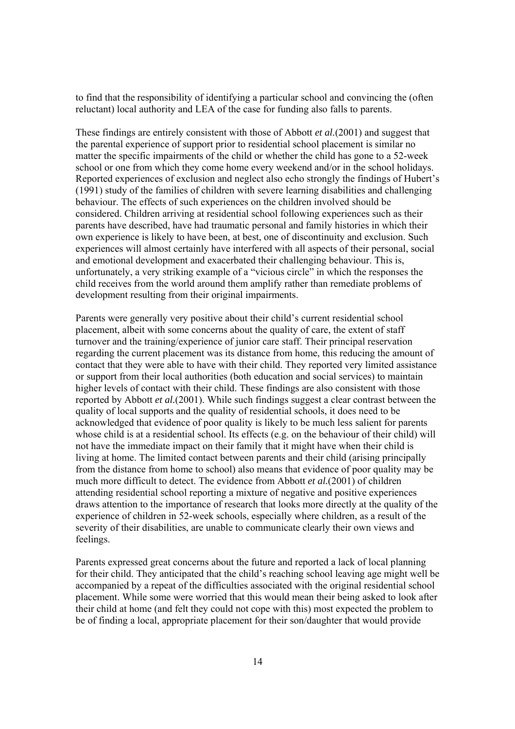to find that the responsibility of identifying a particular school and convincing the (often reluctant) local authority and LEA of the case for funding also falls to parents.

These findings are entirely consistent with those of Abbott *et al.*(2001) and suggest that the parental experience of support prior to residential school placement is similar no matter the specific impairments of the child or whether the child has gone to a 52-week school or one from which they come home every weekend and/or in the school holidays. Reported experiences of exclusion and neglect also echo strongly the findings of Hubert's (1991) study of the families of children with severe learning disabilities and challenging behaviour. The effects of such experiences on the children involved should be considered. Children arriving at residential school following experiences such as their parents have described, have had traumatic personal and family histories in which their own experience is likely to have been, at best, one of discontinuity and exclusion. Such experiences will almost certainly have interfered with all aspects of their personal, social and emotional development and exacerbated their challenging behaviour. This is, unfortunately, a very striking example of a "vicious circle" in which the responses the child receives from the world around them amplify rather than remediate problems of development resulting from their original impairments.

Parents were generally very positive about their child's current residential school placement, albeit with some concerns about the quality of care, the extent of staff turnover and the training/experience of junior care staff. Their principal reservation regarding the current placement was its distance from home, this reducing the amount of contact that they were able to have with their child. They reported very limited assistance or support from their local authorities (both education and social services) to maintain higher levels of contact with their child. These findings are also consistent with those reported by Abbott *et al.*(2001). While such findings suggest a clear contrast between the quality of local supports and the quality of residential schools, it does need to be acknowledged that evidence of poor quality is likely to be much less salient for parents whose child is at a residential school. Its effects (e.g. on the behaviour of their child) will not have the immediate impact on their family that it might have when their child is living at home. The limited contact between parents and their child (arising principally from the distance from home to school) also means that evidence of poor quality may be much more difficult to detect. The evidence from Abbott *et al.*(2001) of children attending residential school reporting a mixture of negative and positive experiences draws attention to the importance of research that looks more directly at the quality of the experience of children in 52-week schools, especially where children, as a result of the severity of their disabilities, are unable to communicate clearly their own views and feelings.

Parents expressed great concerns about the future and reported a lack of local planning for their child. They anticipated that the child's reaching school leaving age might well be accompanied by a repeat of the difficulties associated with the original residential school placement. While some were worried that this would mean their being asked to look after their child at home (and felt they could not cope with this) most expected the problem to be of finding a local, appropriate placement for their son/daughter that would provide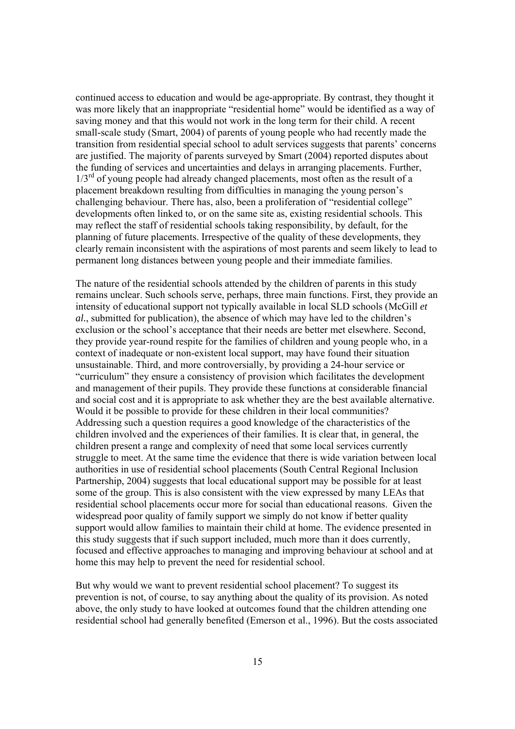continued access to education and would be age-appropriate. By contrast, they thought it was more likely that an inappropriate "residential home" would be identified as a way of saving money and that this would not work in the long term for their child. A recent small-scale study (Smart, 2004) of parents of young people who had recently made the transition from residential special school to adult services suggests that parents' concerns are justified. The majority of parents surveyed by Smart (2004) reported disputes about the funding of services and uncertainties and delays in arranging placements. Further,  $1/3<sup>rd</sup>$  of young people had already changed placements, most often as the result of a placement breakdown resulting from difficulties in managing the young person's challenging behaviour. There has, also, been a proliferation of "residential college" developments often linked to, or on the same site as, existing residential schools. This may reflect the staff of residential schools taking responsibility, by default, for the planning of future placements. Irrespective of the quality of these developments, they clearly remain inconsistent with the aspirations of most parents and seem likely to lead to permanent long distances between young people and their immediate families.

The nature of the residential schools attended by the children of parents in this study remains unclear. Such schools serve, perhaps, three main functions. First, they provide an intensity of educational support not typically available in local SLD schools (McGill *et al.*, submitted for publication), the absence of which may have led to the children's exclusion or the school's acceptance that their needs are better met elsewhere. Second, they provide year-round respite for the families of children and young people who, in a context of inadequate or non-existent local support, may have found their situation unsustainable. Third, and more controversially, by providing a 24-hour service or "curriculum" they ensure a consistency of provision which facilitates the development and management of their pupils. They provide these functions at considerable financial and social cost and it is appropriate to ask whether they are the best available alternative. Would it be possible to provide for these children in their local communities? Addressing such a question requires a good knowledge of the characteristics of the children involved and the experiences of their families. It is clear that, in general, the children present a range and complexity of need that some local services currently struggle to meet. At the same time the evidence that there is wide variation between local authorities in use of residential school placements (South Central Regional Inclusion Partnership, 2004) suggests that local educational support may be possible for at least some of the group. This is also consistent with the view expressed by many LEAs that residential school placements occur more for social than educational reasons. Given the widespread poor quality of family support we simply do not know if better quality support would allow families to maintain their child at home. The evidence presented in this study suggests that if such support included, much more than it does currently, focused and effective approaches to managing and improving behaviour at school and at home this may help to prevent the need for residential school.

But why would we want to prevent residential school placement? To suggest its prevention is not, of course, to say anything about the quality of its provision. As noted above, the only study to have looked at outcomes found that the children attending one residential school had generally benefited (Emerson et al., 1996). But the costs associated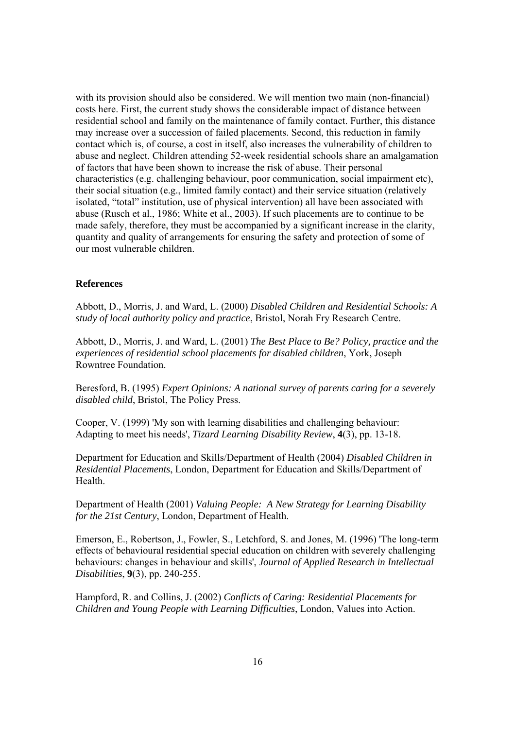with its provision should also be considered. We will mention two main (non-financial) costs here. First, the current study shows the considerable impact of distance between residential school and family on the maintenance of family contact. Further, this distance may increase over a succession of failed placements. Second, this reduction in family contact which is, of course, a cost in itself, also increases the vulnerability of children to abuse and neglect. Children attending 52-week residential schools share an amalgamation of factors that have been shown to increase the risk of abuse. Their personal characteristics (e.g. challenging behaviour, poor communication, social impairment etc), their social situation (e.g., limited family contact) and their service situation (relatively isolated, "total" institution, use of physical intervention) all have been associated with abuse (Rusch et al., 1986; White et al., 2003). If such placements are to continue to be made safely, therefore, they must be accompanied by a significant increase in the clarity, quantity and quality of arrangements for ensuring the safety and protection of some of our most vulnerable children.

#### **References**

Abbott, D., Morris, J. and Ward, L. (2000) *Disabled Children and Residential Schools: A study of local authority policy and practice*, Bristol, Norah Fry Research Centre.

Abbott, D., Morris, J. and Ward, L. (2001) *The Best Place to Be? Policy, practice and the experiences of residential school placements for disabled children*, York, Joseph Rowntree Foundation.

Beresford, B. (1995) *Expert Opinions: A national survey of parents caring for a severely disabled child*, Bristol, The Policy Press.

Cooper, V. (1999) 'My son with learning disabilities and challenging behaviour: Adapting to meet his needs', *Tizard Learning Disability Review*, **4**(3), pp. 13-18.

Department for Education and Skills/Department of Health (2004) *Disabled Children in Residential Placements*, London, Department for Education and Skills/Department of Health.

Department of Health (2001) *Valuing People: A New Strategy for Learning Disability for the 21st Century*, London, Department of Health.

Emerson, E., Robertson, J., Fowler, S., Letchford, S. and Jones, M. (1996) 'The long-term effects of behavioural residential special education on children with severely challenging behaviours: changes in behaviour and skills', *Journal of Applied Research in Intellectual Disabilities*, **9**(3), pp. 240-255.

Hampford, R. and Collins, J. (2002) *Conflicts of Caring: Residential Placements for Children and Young People with Learning Difficulties*, London, Values into Action.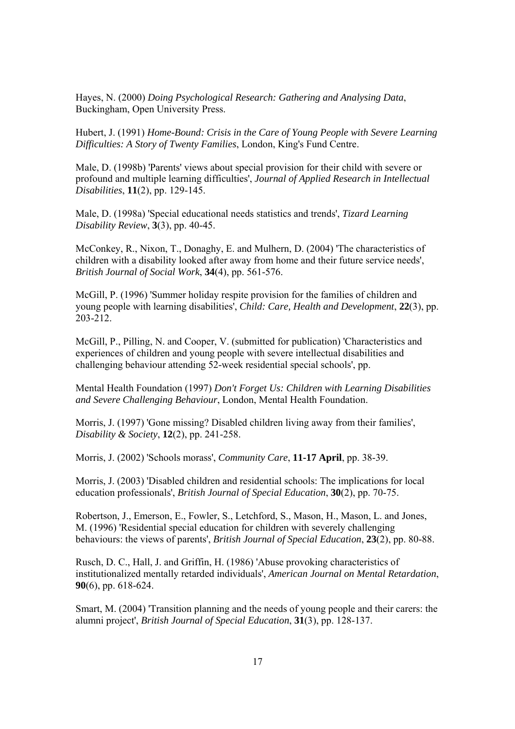Hayes, N. (2000) *Doing Psychological Research: Gathering and Analysing Data*, Buckingham, Open University Press.

Hubert, J. (1991) *Home-Bound: Crisis in the Care of Young People with Severe Learning Difficulties: A Story of Twenty Families*, London, King's Fund Centre.

Male, D. (1998b) 'Parents' views about special provision for their child with severe or profound and multiple learning difficulties', *Journal of Applied Research in Intellectual Disabilities*, **11**(2), pp. 129-145.

Male, D. (1998a) 'Special educational needs statistics and trends', *Tizard Learning Disability Review*, **3**(3), pp. 40-45.

McConkey, R., Nixon, T., Donaghy, E. and Mulhern, D. (2004) 'The characteristics of children with a disability looked after away from home and their future service needs', *British Journal of Social Work*, **34**(4), pp. 561-576.

McGill, P. (1996) 'Summer holiday respite provision for the families of children and young people with learning disabilities', *Child: Care, Health and Development*, **22**(3), pp. 203-212.

McGill, P., Pilling, N. and Cooper, V. (submitted for publication) 'Characteristics and experiences of children and young people with severe intellectual disabilities and challenging behaviour attending 52-week residential special schools', pp.

Mental Health Foundation (1997) *Don't Forget Us: Children with Learning Disabilities and Severe Challenging Behaviour*, London, Mental Health Foundation.

Morris, J. (1997) 'Gone missing? Disabled children living away from their families', *Disability & Society*, **12**(2), pp. 241-258.

Morris, J. (2002) 'Schools morass', *Community Care*, **11-17 April**, pp. 38-39.

Morris, J. (2003) 'Disabled children and residential schools: The implications for local education professionals', *British Journal of Special Education*, **30**(2), pp. 70-75.

Robertson, J., Emerson, E., Fowler, S., Letchford, S., Mason, H., Mason, L. and Jones, M. (1996) 'Residential special education for children with severely challenging behaviours: the views of parents', *British Journal of Special Education*, **23**(2), pp. 80-88.

Rusch, D. C., Hall, J. and Griffin, H. (1986) 'Abuse provoking characteristics of institutionalized mentally retarded individuals', *American Journal on Mental Retardation*, **90**(6), pp. 618-624.

Smart, M. (2004) 'Transition planning and the needs of young people and their carers: the alumni project', *British Journal of Special Education*, **31**(3), pp. 128-137.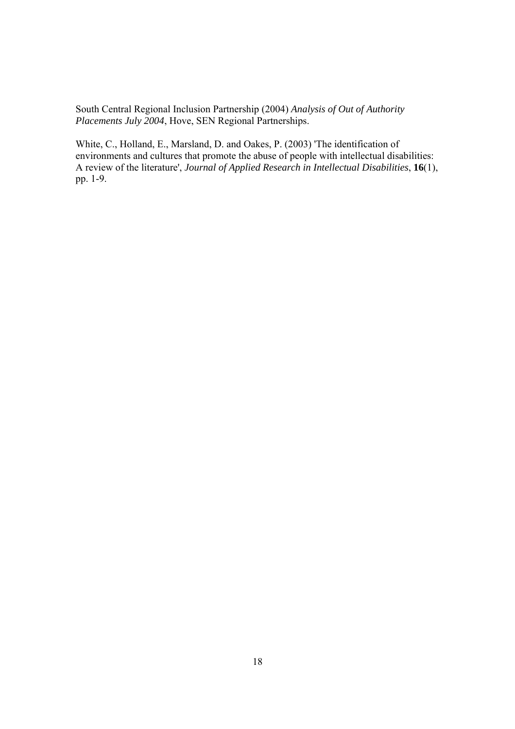South Central Regional Inclusion Partnership (2004) *Analysis of Out of Authority Placements July 2004*, Hove, SEN Regional Partnerships.

White, C., Holland, E., Marsland, D. and Oakes, P. (2003) 'The identification of environments and cultures that promote the abuse of people with intellectual disabilities: A review of the literature', *Journal of Applied Research in Intellectual Disabilities*, **16**(1), pp. 1-9.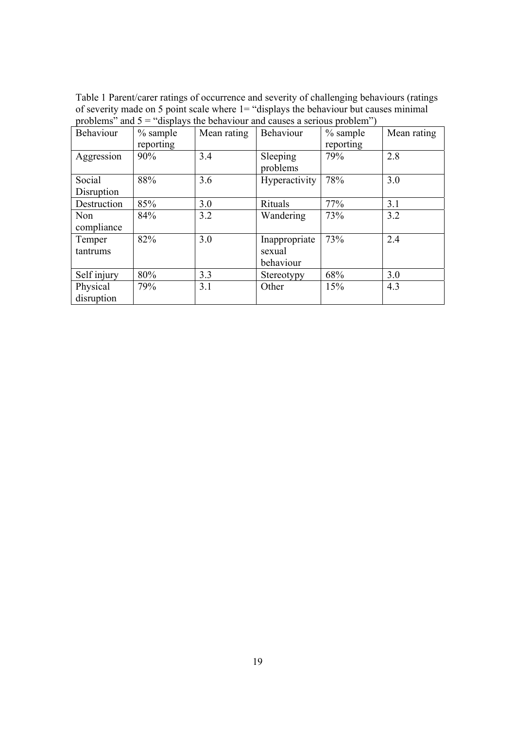Table 1 Parent/carer ratings of occurrence and severity of challenging behaviours (ratings of severity made on 5 point scale where 1= "displays the behaviour but causes minimal problems" and  $5 =$  "displays the behaviour and causes a serious problem")

| Behaviour              | $\%$ sample<br>reporting | Mean rating | Behaviour                            | $%$ sample<br>reporting | Mean rating |
|------------------------|--------------------------|-------------|--------------------------------------|-------------------------|-------------|
| Aggression             | 90%                      | 3.4         | Sleeping<br>problems                 | 79%                     | 2.8         |
| Social<br>Disruption   | 88%                      | 3.6         | Hyperactivity                        | 78%                     | 3.0         |
| Destruction            | 85%                      | 3.0         | Rituals                              | 77%                     | 3.1         |
| Non<br>compliance      | 84%                      | 3.2         | Wandering                            | 73%                     | 3.2         |
| Temper<br>tantrums     | 82%                      | 3.0         | Inappropriate<br>sexual<br>behaviour | 73%                     | 2.4         |
| Self injury            | 80%                      | 3.3         | Stereotypy                           | 68%                     | 3.0         |
| Physical<br>disruption | 79%                      | 3.1         | Other                                | 15%                     | 4.3         |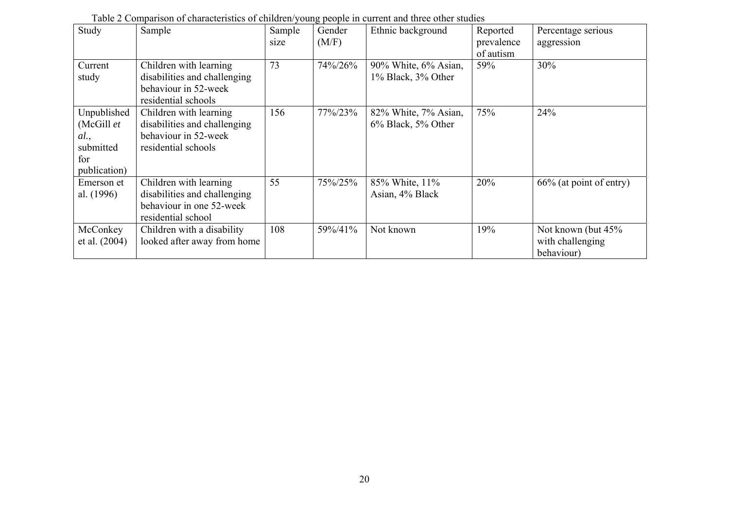| Study         | Sample                       | Sample | Gender  | Ethnic background    | Reported   | Percentage serious      |
|---------------|------------------------------|--------|---------|----------------------|------------|-------------------------|
|               |                              | size   | (M/F)   |                      | prevalence | aggression              |
|               |                              |        |         |                      | of autism  |                         |
| Current       | Children with learning       | 73     | 74%/26% | 90% White, 6% Asian, | 59%        | 30%                     |
| study         | disabilities and challenging |        |         | 1% Black, 3% Other   |            |                         |
|               | behaviour in 52-week         |        |         |                      |            |                         |
|               | residential schools          |        |         |                      |            |                         |
| Unpublished   | Children with learning       | 156    | 77%/23% | 82% White, 7% Asian, | 75%        | 24%                     |
| (McGill $et$  | disabilities and challenging |        |         | 6% Black, 5% Other   |            |                         |
| al.,          | behaviour in 52-week         |        |         |                      |            |                         |
| submitted     | residential schools          |        |         |                      |            |                         |
| for           |                              |        |         |                      |            |                         |
| publication)  |                              |        |         |                      |            |                         |
| Emerson et    | Children with learning       | 55     | 75%/25% | 85% White, 11%       | 20%        | 66% (at point of entry) |
| al. $(1996)$  | disabilities and challenging |        |         | Asian, 4% Black      |            |                         |
|               | behaviour in one 52-week     |        |         |                      |            |                         |
|               | residential school           |        |         |                      |            |                         |
| McConkey      | Children with a disability   | 108    | 59%/41% | Not known            | 19%        | Not known (but 45%      |
| et al. (2004) | looked after away from home  |        |         |                      |            | with challenging        |
|               |                              |        |         |                      |            | behaviour)              |

Table 2 Comparison of characteristics of children/young people in current and three other studies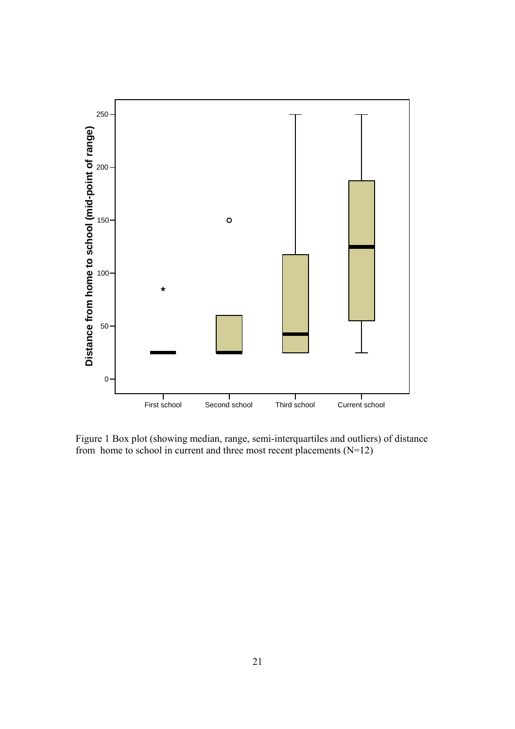

Figure 1 Box plot (showing median, range, semi-interquartiles and outliers) of distance from home to school in current and three most recent placements (N=12)